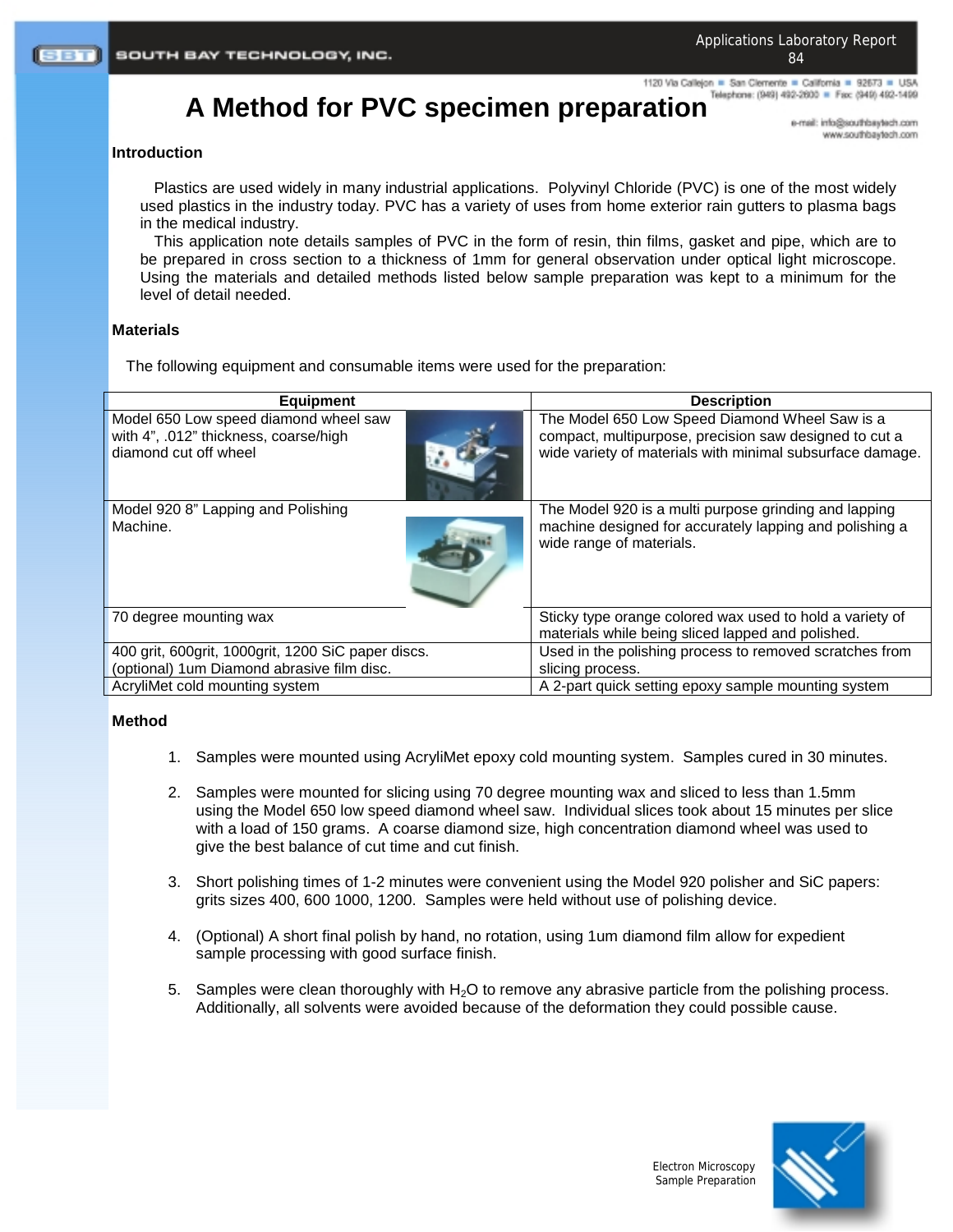1120 Via Callejon = San Clemente = California = 92673 = USA

# **A Method for PVC specimen preparation** *Teleghone:* **(949) 482-2800 <b>a** Face (940) 482-3400

e-mail: info@southbaytech.com www.southbaytech.com

### **Introduction**

Plastics are used widely in many industrial applications. Polyvinyl Chloride (PVC) is one of the most widely used plastics in the industry today. PVC has a variety of uses from home exterior rain gutters to plasma bags in the medical industry.

This application note details samples of PVC in the form of resin, thin films, gasket and pipe, which are to be prepared in cross section to a thickness of 1mm for general observation under optical light microscope. Using the materials and detailed methods listed below sample preparation was kept to a minimum for the level of detail needed.

#### **Materials**

The following equipment and consumable items were used for the preparation:

| <b>Equipment</b>                                                                                        | <b>Description</b>                                                                                                                                                    |
|---------------------------------------------------------------------------------------------------------|-----------------------------------------------------------------------------------------------------------------------------------------------------------------------|
| Model 650 Low speed diamond wheel saw<br>with 4", .012" thickness, coarse/high<br>diamond cut off wheel | The Model 650 Low Speed Diamond Wheel Saw is a<br>compact, multipurpose, precision saw designed to cut a<br>wide variety of materials with minimal subsurface damage. |
| Model 920 8" Lapping and Polishing<br>Machine.                                                          | The Model 920 is a multi purpose grinding and lapping<br>machine designed for accurately lapping and polishing a<br>wide range of materials.                          |
| 70 degree mounting wax                                                                                  | Sticky type orange colored wax used to hold a variety of<br>materials while being sliced lapped and polished.                                                         |
| 400 grit, 600grit, 1000grit, 1200 SiC paper discs.                                                      | Used in the polishing process to removed scratches from                                                                                                               |
| (optional) 1um Diamond abrasive film disc.                                                              | slicing process.                                                                                                                                                      |
| AcryliMet cold mounting system                                                                          | A 2-part quick setting epoxy sample mounting system                                                                                                                   |

#### **Method**

- 1. Samples were mounted using AcryliMet epoxy cold mounting system. Samples cured in 30 minutes.
- 2. Samples were mounted for slicing using 70 degree mounting wax and sliced to less than 1.5mm using the Model 650 low speed diamond wheel saw. Individual slices took about 15 minutes per slice with a load of 150 grams. A coarse diamond size, high concentration diamond wheel was used to give the best balance of cut time and cut finish.
- 3. Short polishing times of 1-2 minutes were convenient using the Model 920 polisher and SiC papers: grits sizes 400, 600 1000, 1200. Samples were held without use of polishing device.
- 4. (Optional) A short final polish by hand, no rotation, using 1um diamond film allow for expedient sample processing with good surface finish.
- 5. Samples were clean thoroughly with  $H<sub>2</sub>O$  to remove any abrasive particle from the polishing process. Additionally, all solvents were avoided because of the deformation they could possible cause.